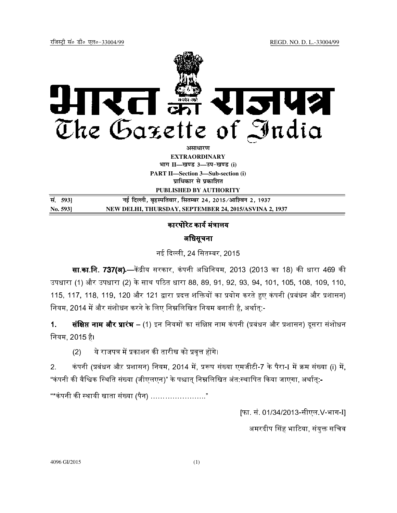

**EXTRAORDINARY Hkkx II—[k.M 3—mi&[k.M (i)**

**PART II—Section 3—Sub-section (i) प्राधिकार से प्रकाशित** 

**PUBLISHED BY AUTHORITY**

| सं. 5931 | नई दिल्ली, बृहस्पतिवार, सितम्बर 24, 2015/आश्विन 2, 1937 |
|----------|---------------------------------------------------------|
| No. 5931 | NEW DELHI, THURSDAY, SEPTEMBER 24, 2015/ASVINA 2, 1937  |

## कारपोरेट कार्य मंत्रालय

## अधिसूचना

नई दली, 24 िसत बर, 2015

**सा.का.नि. 737(अ).—**केंद्रीय सरकार, कंपनी अधिनियम, 2013 (2013 का 18) की धारा 469 की उपधारा (1) और उपधारा (2) के साथ पठित धारा 88, 89, 91, 92, 93, 94, 101, 105, 108, 109, 110, 115, 117, 118, 119, 120 और 121 द्वारा प्रदत्त शक्तियों का प्रयोग करते हुए कंपनी (प्रबंधन और प्रशासन) नियम, 2014 में और संशोधन करने के लिए निम्नलिखित नियम बनाती है, अर्थात्:-

1. **संक्षिप्त नाम और प्रारंभ** – (1) इन नियमों का संक्षिप्त नाम कंपनी (प्रबंधन और प्रशासन) दूसरा संशोधन िनयम, 2015 है।

(2) ये राजपत्र में प्रकाशन की तारीख को प्रवृत्त होंगे।

2. कंपनी (प्रबंधन औऱ प्रशासन) नियम, 2014 में, प्ररूप संख्या एमजीटी-7 के पैरा-I में क्रम संख्या (i) में, "कंपनी की वैश्विक स्थिति संख्या (जीएलएन)" के पश्चात निम्नलिखित अंत:स्थापित किया जाएगा, अर्थात:-

"\*कंपनी की स्थायी खाता संख्या (पैन) ……………………"

[फा. सं. 01/34/2013-सीएल.V-भाग-I]

अमरदीप सिंह भाटिया, संयुक्त सचिव